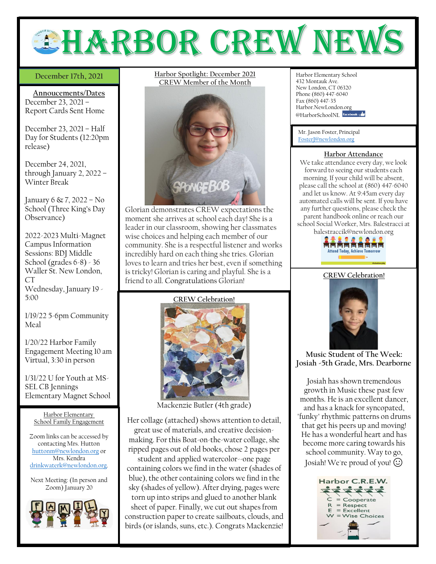

## December 17th, 2021

**Annoucements/Dates** December 23, 2021 – Report Cards Sent Home

December 23, 2021 – Half Day for Students (12:20pm release)

December 24, 2021, through January 2, 2022 – Winter Break

January 6 & 7, 2022 – No School (Three King's Day Observance)

2022-2023 Multi-Magnet Campus Information Sessions: BDJ Middle School (grades 6-8) - 36 Waller St. New London, CT Wednesday, January 19 -

1/19/22 5-6pm Community Meal

5:00

1/20/22 Harbor Family Engagement Meeting 10 am Virtual, 3:30 in person

1/31/22 U for Youth at MS-SEL CB Jennings Elementary Magnet School

Harbor Elementary School Family Engagement

Zoom links can be accessed by contacting Mrs. Hutton [huttonm@newlondon.org](mailto:huttonm@newlondon.org) or Mrs. Kendra [drinkwaterk@newlondon.org.](mailto:drinkwaterk@newlondon.org)

Next Meeting: (In person and Zoom) January 20



**December 17th, 2021 Harbor Spotlight: December 2021** Harbor Elementary School **CREW Member of the Month**



Glorian demonstrates CREW expectations the moment she arrives at school each day! She is a leader in our classroom, showing her classmates wise choices and helping each member of our community. She is a respectful listener and works incredibly hard on each thing she tries. Glorian loves to learn and tries her best, even if something is tricky! Glorian is caring and playful. She is a friend to all. Congratulations Glorian!

**CREW Celebration!**



Mackenzie Butler (4th grade)

Her collage (attached) shows attention to detail, great use of materials, and creative decisionmaking. For this Boat-on-the-water collage, she ripped pages out of old books, chose 2 pages per

student and applied watercolor--one page containing colors we find in the water (shades of blue), the other containing colors we find in the sky (shades of yellow). After drying, pages were torn up into strips and glued to another blank sheet of paper. Finally, we cut out shapes from construction paper to create sailboats, clouds, and birds (or islands, suns, etc.). Congrats Mackenzie!

432 Montauk Ave. New London, CT 06320 Phone (860) 447-6040 Fax (860) 447-35 Harbor.NewLondon.org @HarborSchoolNL facebook

Mr. Jason Foster, Principal [FosterJ@newlondon.org](mailto:FosterJ@newlondon.org)

### **Harbor Attendance**

We take attendance every day, we look forward to seeing our students each morning. If your child will be absent, please call the school at (860) 447-6040 and let us know. At 9:45am every day automated calls will be sent. If you have any further questions, please check the parent handbook online or reach our school Social Worker, Mrs. Balestracci at balestraccik@newlondon.org



### **CREW Celebration!**



**Music Student of The Week: Josiah -5th Grade, Mrs. Dearborne**

Josiah has shown tremendous growth in Music these past few months. He is an excellent dancer, and has a knack for syncopated, "funky" rhythmic patterns on drums that get his peers up and moving! He has a wonderful heart and has become more caring towards his school community. Way to go, Josiah! We're proud of you!  $\odot$ 

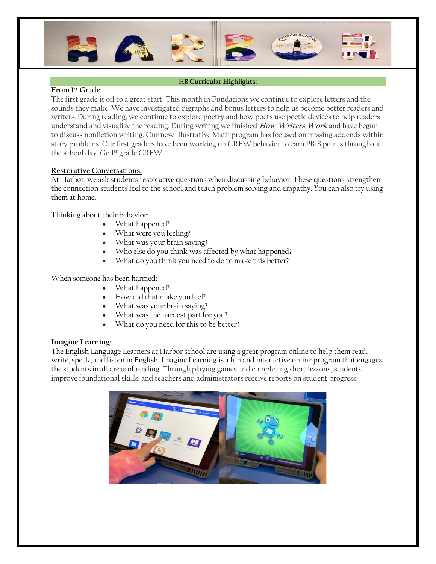

### **HB Curricular Highlights:**

# **From 1 st Grade:**

The first grade is off to a great start. This month in Fundations we continue to explore letters and the sounds they make. We have investigated digraphs and bonus letters to help us become better readers and writers. During reading, we continue to explore poetry and how poets use poetic devices to help readers understand and visualize the reading. During writing we finished **How Writers Work** and have begun to discuss nonfiction writing. Our new Illustrative Math program has focused on missing addends within story problems. Our first graders have been working on CREW behavior to earn PBIS points throughout the school day. Go 1<sup>st</sup> grade CREW!

## **Restorative Conversations:**

At Harbor, we ask students restorative questions when discussing behavior. These questions strengthen the connection students feel to the school and teach problem solving and empathy. You can also try using them at home.

Thinking about their behavior:

- What happened?
- What were you feeling?
- What was your brain saying?
- Who else do you think was affected by what happened?
- What do you think you need to do to make this better?

## When someone has been harmed:

- What happened?
- How did that make you feel?
- What was your brain saying?
- What was the hardest part for you?
- What do you need for this to be better?

### **Imagine Learning:**

The English Language Learners at Harbor school are using a great program online to help them read, write, speak, and listen in English. Imagine Learning is a fun and interactive online program that engages the students in all areas of reading. Through playing games and completing short lessons, students improve foundational skills, and teachers and administrators receive reports on student progress.